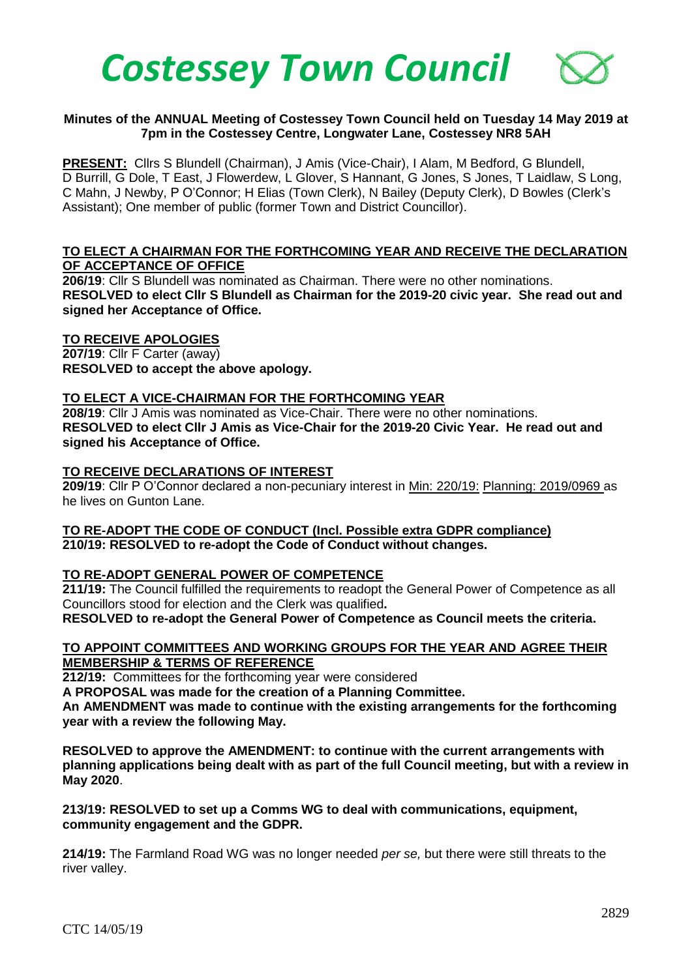

#### **Minutes of the ANNUAL Meeting of Costessey Town Council held on Tuesday 14 May 2019 at 7pm in the Costessey Centre, Longwater Lane, Costessey NR8 5AH**

**PRESENT:** Cllrs S Blundell (Chairman), J Amis (Vice-Chair), I Alam, M Bedford, G Blundell, D Burrill, G Dole, T East, J Flowerdew, L Glover, S Hannant, G Jones, S Jones, T Laidlaw, S Long, C Mahn, J Newby, P O'Connor; H Elias (Town Clerk), N Bailey (Deputy Clerk), D Bowles (Clerk's Assistant); One member of public (former Town and District Councillor).

### **TO ELECT A CHAIRMAN FOR THE FORTHCOMING YEAR AND RECEIVE THE DECLARATION OF ACCEPTANCE OF OFFICE**

**206/19**: Cllr S Blundell was nominated as Chairman. There were no other nominations. **RESOLVED to elect Cllr S Blundell as Chairman for the 2019-20 civic year. She read out and signed her Acceptance of Office.**

#### **TO RECEIVE APOLOGIES**

**207/19**: Cllr F Carter (away) **RESOLVED to accept the above apology.** 

## **TO ELECT A VICE-CHAIRMAN FOR THE FORTHCOMING YEAR**

**208/19**: Cllr J Amis was nominated as Vice-Chair. There were no other nominations. **RESOLVED to elect Cllr J Amis as Vice-Chair for the 2019-20 Civic Year. He read out and signed his Acceptance of Office.**

#### **TO RECEIVE DECLARATIONS OF INTEREST**

**209/19**: Cllr P O'Connor declared a non-pecuniary interest in Min: 220/19: Planning: 2019/0969 as he lives on Gunton Lane.

#### **TO RE-ADOPT THE CODE OF CONDUCT (Incl. Possible extra GDPR compliance) 210/19: RESOLVED to re-adopt the Code of Conduct without changes.**

## **TO RE-ADOPT GENERAL POWER OF COMPETENCE**

**211/19:** The Council fulfilled the requirements to readopt the General Power of Competence as all Councillors stood for election and the Clerk was qualified**.** 

**RESOLVED to re-adopt the General Power of Competence as Council meets the criteria.** 

#### **TO APPOINT COMMITTEES AND WORKING GROUPS FOR THE YEAR AND AGREE THEIR MEMBERSHIP & TERMS OF REFERENCE**

**212/19:** Committees for the forthcoming year were considered

**A PROPOSAL was made for the creation of a Planning Committee.**

**An AMENDMENT was made to continue with the existing arrangements for the forthcoming year with a review the following May.**

**RESOLVED to approve the AMENDMENT: to continue with the current arrangements with planning applications being dealt with as part of the full Council meeting, but with a review in May 2020**.

#### **213/19: RESOLVED to set up a Comms WG to deal with communications, equipment, community engagement and the GDPR.**

**214/19:** The Farmland Road WG was no longer needed *per se,* but there were still threats to the river valley.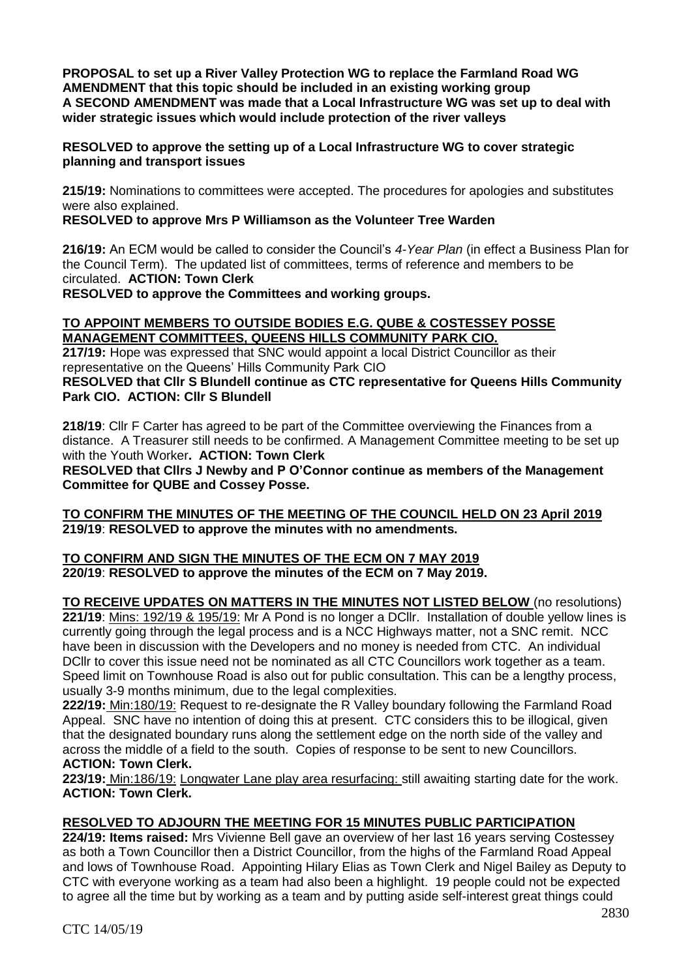**PROPOSAL to set up a River Valley Protection WG to replace the Farmland Road WG AMENDMENT that this topic should be included in an existing working group A SECOND AMENDMENT was made that a Local Infrastructure WG was set up to deal with wider strategic issues which would include protection of the river valleys** 

### **RESOLVED to approve the setting up of a Local Infrastructure WG to cover strategic planning and transport issues**

**215/19:** Nominations to committees were accepted. The procedures for apologies and substitutes were also explained.

## **RESOLVED to approve Mrs P Williamson as the Volunteer Tree Warden**

**216/19:** An ECM would be called to consider the Council's *4-Year Plan* (in effect a Business Plan for the Council Term). The updated list of committees, terms of reference and members to be circulated. **ACTION: Town Clerk**

**RESOLVED to approve the Committees and working groups.**

## **TO APPOINT MEMBERS TO OUTSIDE BODIES E.G. QUBE & COSTESSEY POSSE MANAGEMENT COMMITTEES, QUEENS HILLS COMMUNITY PARK CIO.**

**217/19:** Hope was expressed that SNC would appoint a local District Councillor as their representative on the Queens' Hills Community Park CIO

**RESOLVED that Cllr S Blundell continue as CTC representative for Queens Hills Community Park CIO. ACTION: Cllr S Blundell** 

**218/19**: Cllr F Carter has agreed to be part of the Committee overviewing the Finances from a distance. A Treasurer still needs to be confirmed. A Management Committee meeting to be set up with the Youth Worker**. ACTION: Town Clerk**

**RESOLVED that Cllrs J Newby and P O'Connor continue as members of the Management Committee for QUBE and Cossey Posse.** 

## **TO CONFIRM THE MINUTES OF THE MEETING OF THE COUNCIL HELD ON 23 April 2019 219/19**: **RESOLVED to approve the minutes with no amendments.**

#### **TO CONFIRM AND SIGN THE MINUTES OF THE ECM ON 7 MAY 2019 220/19**: **RESOLVED to approve the minutes of the ECM on 7 May 2019.**

**TO RECEIVE UPDATES ON MATTERS IN THE MINUTES NOT LISTED BELOW** (no resolutions) **221/19**: Mins: 192/19 & 195/19: Mr A Pond is no longer a DCllr. Installation of double yellow lines is currently going through the legal process and is a NCC Highways matter, not a SNC remit. NCC have been in discussion with the Developers and no money is needed from CTC. An individual DCllr to cover this issue need not be nominated as all CTC Councillors work together as a team. Speed limit on Townhouse Road is also out for public consultation. This can be a lengthy process, usually 3-9 months minimum, due to the legal complexities.

**222/19:** Min:180/19: Request to re-designate the R Valley boundary following the Farmland Road Appeal. SNC have no intention of doing this at present. CTC considers this to be illogical, given that the designated boundary runs along the settlement edge on the north side of the valley and across the middle of a field to the south. Copies of response to be sent to new Councillors. **ACTION: Town Clerk.**

**223/19:** Min:186/19: Longwater Lane play area resurfacing: still awaiting starting date for the work. **ACTION: Town Clerk.**

# **RESOLVED TO ADJOURN THE MEETING FOR 15 MINUTES PUBLIC PARTICIPATION**

**224/19: Items raised:** Mrs Vivienne Bell gave an overview of her last 16 years serving Costessey as both a Town Councillor then a District Councillor, from the highs of the Farmland Road Appeal and lows of Townhouse Road. Appointing Hilary Elias as Town Clerk and Nigel Bailey as Deputy to CTC with everyone working as a team had also been a highlight. 19 people could not be expected to agree all the time but by working as a team and by putting aside self-interest great things could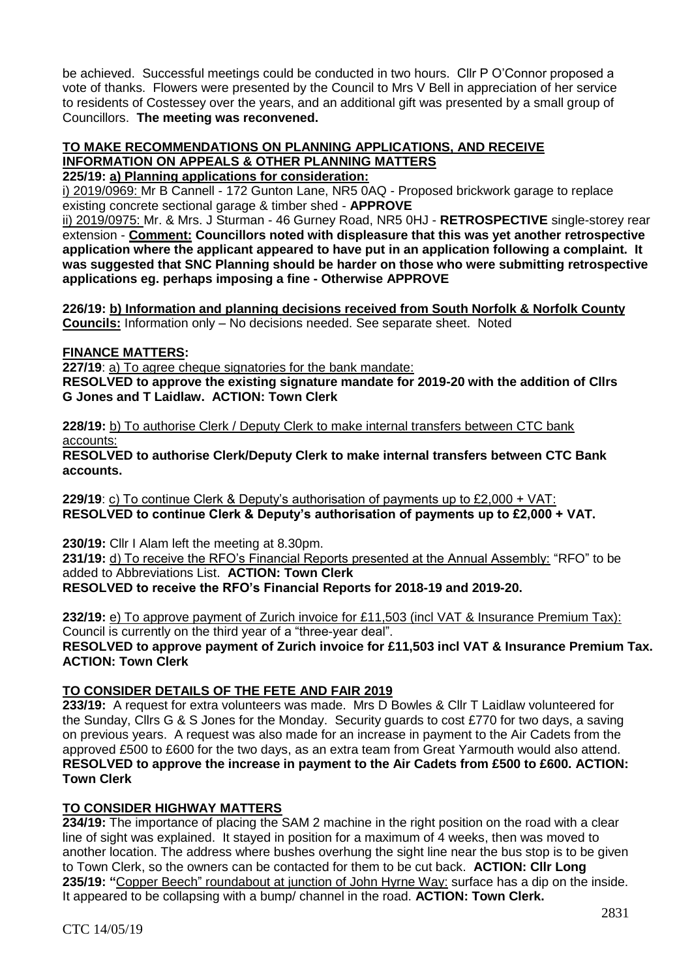be achieved. Successful meetings could be conducted in two hours. Cllr P O'Connor proposed a vote of thanks. Flowers were presented by the Council to Mrs V Bell in appreciation of her service to residents of Costessey over the years, and an additional gift was presented by a small group of Councillors. **The meeting was reconvened.**

#### **TO MAKE RECOMMENDATIONS ON PLANNING APPLICATIONS, AND RECEIVE INFORMATION ON APPEALS & OTHER PLANNING MATTERS 225/19: a) Planning applications for consideration:**

i) 2019/0969: Mr B Cannell - 172 Gunton Lane, NR5 0AQ - Proposed brickwork garage to replace existing concrete sectional garage & timber shed - **APPROVE**

ii) 2019/0975: Mr. & Mrs. J Sturman - 46 Gurney Road, NR5 0HJ - **RETROSPECTIVE** single-storey rear extension - **Comment: Councillors noted with displeasure that this was yet another retrospective application where the applicant appeared to have put in an application following a complaint. It was suggested that SNC Planning should be harder on those who were submitting retrospective applications eg. perhaps imposing a fine - Otherwise APPROVE**

**226/19: b) Information and planning decisions received from South Norfolk & Norfolk County Councils:** Information only – No decisions needed. See separate sheet. Noted

# **FINANCE MATTERS:**

 **227/19**: a) To agree cheque signatories for the bank mandate:

**RESOLVED to approve the existing signature mandate for 2019-20 with the addition of Cllrs G Jones and T Laidlaw. ACTION: Town Clerk**

**228/19:** b) To authorise Clerk / Deputy Clerk to make internal transfers between CTC bank accounts:

**RESOLVED to authorise Clerk/Deputy Clerk to make internal transfers between CTC Bank accounts.** 

**229/19**: c) To continue Clerk & Deputy's authorisation of payments up to £2,000 + VAT: **RESOLVED to continue Clerk & Deputy's authorisation of payments up to £2,000 + VAT.** 

**230/19:** Cllr I Alam left the meeting at 8.30pm. **231/19:** d) To receive the RFO's Financial Reports presented at the Annual Assembly: "RFO" to be added to Abbreviations List. **ACTION: Town Clerk RESOLVED to receive the RFO's Financial Reports for 2018-19 and 2019-20.** 

**232/19:** e) To approve payment of Zurich invoice for £11,503 (incl VAT & Insurance Premium Tax): Council is currently on the third year of a "three-year deal". **RESOLVED to approve payment of Zurich invoice for £11,503 incl VAT & Insurance Premium Tax. ACTION: Town Clerk**

# **TO CONSIDER DETAILS OF THE FETE AND FAIR 2019**

**233/19:** A request for extra volunteers was made. Mrs D Bowles & Cllr T Laidlaw volunteered for the Sunday, Cllrs G & S Jones for the Monday. Security guards to cost £770 for two days, a saving on previous years. A request was also made for an increase in payment to the Air Cadets from the approved £500 to £600 for the two days, as an extra team from Great Yarmouth would also attend. **RESOLVED to approve the increase in payment to the Air Cadets from £500 to £600. ACTION: Town Clerk**

# **TO CONSIDER HIGHWAY MATTERS**

**234/19:** The importance of placing the SAM 2 machine in the right position on the road with a clear line of sight was explained. It stayed in position for a maximum of 4 weeks, then was moved to another location. The address where bushes overhung the sight line near the bus stop is to be given to Town Clerk, so the owners can be contacted for them to be cut back. **ACTION: Cllr Long 235/19: "**Copper Beech" roundabout at junction of John Hyrne Way: surface has a dip on the inside. It appeared to be collapsing with a bump/ channel in the road. **ACTION: Town Clerk.**